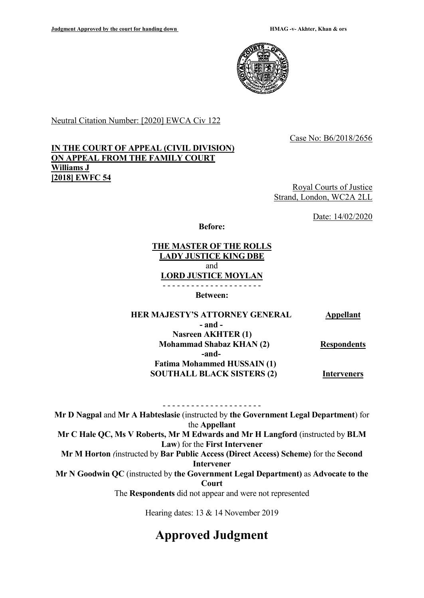

Neutral Citation Number: [2020] EWCA Civ 122

Case No: B6/2018/2656

## **IN THE COURT OF APPEAL (CIVIL DIVISION) ON APPEAL FROM THE FAMILY COURT Williams J [2018] EWFC 54**

Royal Courts of Justice Strand, London, WC2A 2LL

Date: 14/02/2020

**Before:**

#### **THE MASTER OF THE ROLLS LADY JUSTICE KING DBE** and **LORD JUSTICE MOYLAN** - - - - - - - - - - - - - - - - - - - - -

**Between:**

 **HER MAJESTY'S ATTORNEY GENERAL Appellant - and - Nasreen AKHTER (1) Mohammad Shabaz KHAN (2) -and- Fatima Mohammed HUSSAIN (1) SOUTHALL BLACK SISTERS (2) Respondents Interveners**

- - - - - - - - - - - - - - - - - - - - - **Mr D Nagpal** and **Mr A Habteslasie** (instructed by **the Government Legal Department**) for the **Appellant Mr C Hale QC, Ms V Roberts, Mr M Edwards and Mr H Langford** (instructed by **BLM Law**) for the **First Intervener Mr M Horton** *(*instructed by **Bar Public Access (Direct Access) Scheme)** for the **Second Intervener Mr N Goodwin QC** (instructed by **the Government Legal Department)** as **Advocate to the Court** The **Respondents** did not appear and were not represented

Hearing dates: 13 & 14 November 2019

# **Approved Judgment**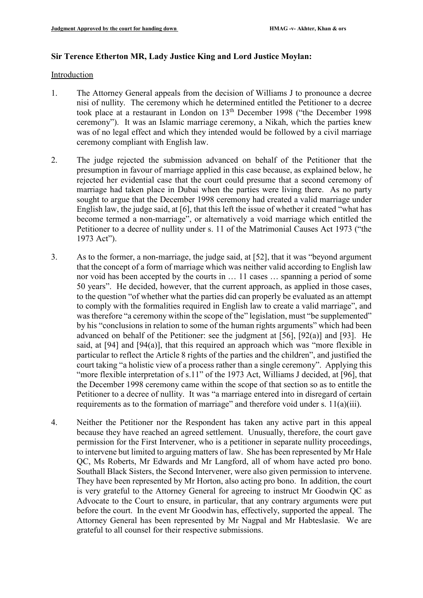## **Sir Terence Etherton MR, Lady Justice King and Lord Justice Moylan:**

#### Introduction

- 1. The Attorney General appeals from the decision of Williams J to pronounce a decree nisi of nullity. The ceremony which he determined entitled the Petitioner to a decree took place at a restaurant in London on  $13<sup>th</sup>$  December 1998 ("the December 1998 ceremony"). It was an Islamic marriage ceremony, a Nikah, which the parties knew was of no legal effect and which they intended would be followed by a civil marriage ceremony compliant with English law.
- 2. The judge rejected the submission advanced on behalf of the Petitioner that the presumption in favour of marriage applied in this case because, as explained below, he rejected her evidential case that the court could presume that a second ceremony of marriage had taken place in Dubai when the parties were living there. As no party sought to argue that the December 1998 ceremony had created a valid marriage under English law, the judge said, at [6], that this left the issue of whether it created "what has become termed a non-marriage", or alternatively a void marriage which entitled the Petitioner to a decree of nullity under s. 11 of the Matrimonial Causes Act 1973 ("the 1973 Act").
- 3. As to the former, a non-marriage, the judge said, at [52], that it was "beyond argument that the concept of a form of marriage which was neither valid according to English law nor void has been accepted by the courts in … 11 cases … spanning a period of some 50 years". He decided, however, that the current approach, as applied in those cases, to the question "of whether what the parties did can properly be evaluated as an attempt to comply with the formalities required in English law to create a valid marriage", and was therefore "a ceremony within the scope of the" legislation, must "be supplemented" by his "conclusions in relation to some of the human rights arguments" which had been advanced on behalf of the Petitioner: see the judgment at [56], [92(a)] and [93]. He said, at [94] and [94(a)], that this required an approach which was "more flexible in particular to reflect the Article 8 rights of the parties and the children", and justified the court taking "a holistic view of a process rather than a single ceremony". Applying this "more flexible interpretation of s.11" of the 1973 Act, Williams J decided, at [96], that the December 1998 ceremony came within the scope of that section so as to entitle the Petitioner to a decree of nullity. It was "a marriage entered into in disregard of certain requirements as to the formation of marriage" and therefore void under s. 11(a)(iii).
- 4. Neither the Petitioner nor the Respondent has taken any active part in this appeal because they have reached an agreed settlement. Unusually, therefore, the court gave permission for the First Intervener, who is a petitioner in separate nullity proceedings, to intervene but limited to arguing matters of law. She has been represented by Mr Hale QC, Ms Roberts, Mr Edwards and Mr Langford, all of whom have acted pro bono. Southall Black Sisters, the Second Intervener, were also given permission to intervene. They have been represented by Mr Horton, also acting pro bono. In addition, the court is very grateful to the Attorney General for agreeing to instruct Mr Goodwin QC as Advocate to the Court to ensure, in particular, that any contrary arguments were put before the court. In the event Mr Goodwin has, effectively, supported the appeal. The Attorney General has been represented by Mr Nagpal and Mr Habteslasie. We are grateful to all counsel for their respective submissions.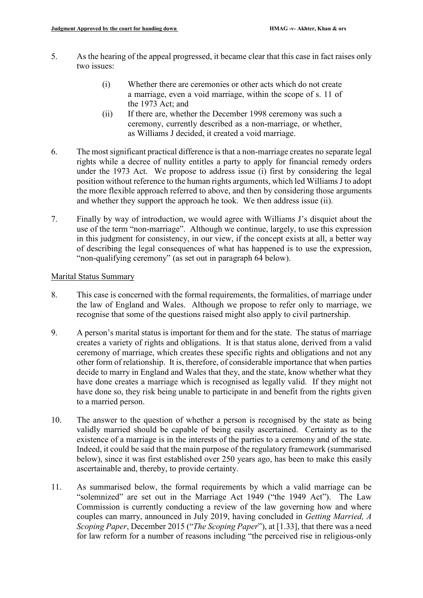- 5. As the hearing of the appeal progressed, it became clear that this case in fact raises only two issues:
	- (i) Whether there are ceremonies or other acts which do not create a marriage, even a void marriage, within the scope of s. 11 of the 1973 Act; and
	- (ii) If there are, whether the December 1998 ceremony was such a ceremony, currently described as a non-marriage, or whether, as Williams J decided, it created a void marriage.
- 6. The most significant practical difference is that a non-marriage creates no separate legal rights while a decree of nullity entitles a party to apply for financial remedy orders under the 1973 Act. We propose to address issue (i) first by considering the legal position without reference to the human rights arguments, which led Williams J to adopt the more flexible approach referred to above, and then by considering those arguments and whether they support the approach he took. We then address issue (ii).
- 7. Finally by way of introduction, we would agree with Williams J's disquiet about the use of the term "non-marriage". Although we continue, largely, to use this expression in this judgment for consistency, in our view, if the concept exists at all, a better way of describing the legal consequences of what has happened is to use the expression, "non-qualifying ceremony" (as set out in paragraph 64 below).

## Marital Status Summary

- 8. This case is concerned with the formal requirements, the formalities, of marriage under the law of England and Wales. Although we propose to refer only to marriage, we recognise that some of the questions raised might also apply to civil partnership.
- 9. A person's marital status is important for them and for the state. The status of marriage creates a variety of rights and obligations. It is that status alone, derived from a valid ceremony of marriage, which creates these specific rights and obligations and not any other form of relationship. It is, therefore, of considerable importance that when parties decide to marry in England and Wales that they, and the state, know whether what they have done creates a marriage which is recognised as legally valid. If they might not have done so, they risk being unable to participate in and benefit from the rights given to a married person.
- 10. The answer to the question of whether a person is recognised by the state as being validly married should be capable of being easily ascertained. Certainty as to the existence of a marriage is in the interests of the parties to a ceremony and of the state. Indeed, it could be said that the main purpose of the regulatory framework (summarised below), since it was first established over 250 years ago, has been to make this easily ascertainable and, thereby, to provide certainty.
- 11. As summarised below, the formal requirements by which a valid marriage can be "solemnized" are set out in the Marriage Act 1949 ("the 1949 Act"). The Law Commission is currently conducting a review of the law governing how and where couples can marry, announced in July 2019, having concluded in *Getting Married, A Scoping Paper*, December 2015 ("*The Scoping Paper*"), at [1.33], that there was a need for law reform for a number of reasons including "the perceived rise in religious-only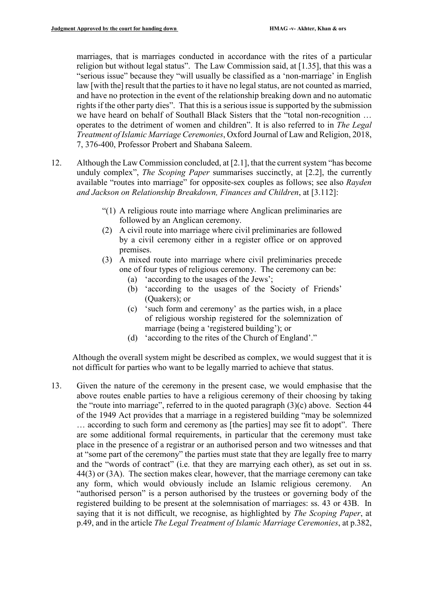marriages, that is marriages conducted in accordance with the rites of a particular religion but without legal status". The Law Commission said, at [1.35], that this was a "serious issue" because they "will usually be classified as a 'non-marriage' in English law [with the] result that the parties to it have no legal status, are not counted as married, and have no protection in the event of the relationship breaking down and no automatic rights if the other party dies". That this is a serious issue is supported by the submission we have heard on behalf of Southall Black Sisters that the "total non-recognition … operates to the detriment of women and children". It is also referred to in *The Legal Treatment of Islamic Marriage Ceremonies*, Oxford Journal of Law and Religion, 2018, 7, 376-400, Professor Probert and Shabana Saleem.

- 12. Although the Law Commission concluded, at [2.1], that the current system "has become unduly complex", *The Scoping Paper* summarises succinctly, at [2.2], the currently available "routes into marriage" for opposite-sex couples as follows; see also *Rayden and Jackson on Relationship Breakdown, Finances and Children*, at [3.112]:
	- "(1) A religious route into marriage where Anglican preliminaries are followed by an Anglican ceremony.
	- (2) A civil route into marriage where civil preliminaries are followed by a civil ceremony either in a register office or on approved premises.
	- (3) A mixed route into marriage where civil preliminaries precede one of four types of religious ceremony. The ceremony can be:
		- (a) 'according to the usages of the Jews';
		- (b) 'according to the usages of the Society of Friends' (Quakers); or
		- (c) 'such form and ceremony' as the parties wish, in a place of religious worship registered for the solemnization of marriage (being a 'registered building'); or
		- (d) 'according to the rites of the Church of England'."

Although the overall system might be described as complex, we would suggest that it is not difficult for parties who want to be legally married to achieve that status.

13. Given the nature of the ceremony in the present case, we would emphasise that the above routes enable parties to have a religious ceremony of their choosing by taking the "route into marriage", referred to in the quoted paragraph  $(3)(c)$  above. Section 44 of the 1949 Act provides that a marriage in a registered building "may be solemnized … according to such form and ceremony as [the parties] may see fit to adopt". There are some additional formal requirements, in particular that the ceremony must take place in the presence of a registrar or an authorised person and two witnesses and that at "some part of the ceremony" the parties must state that they are legally free to marry and the "words of contract" (i.e. that they are marrying each other), as set out in ss. 44(3) or (3A). The section makes clear, however, that the marriage ceremony can take any form, which would obviously include an Islamic religious ceremony. An "authorised person" is a person authorised by the trustees or governing body of the registered building to be present at the solemnisation of marriages: ss. 43 or 43B. In saying that it is not difficult, we recognise, as highlighted by *The Scoping Paper*, at p.49, and in the article *The Legal Treatment of Islamic Marriage Ceremonies*, at p.382,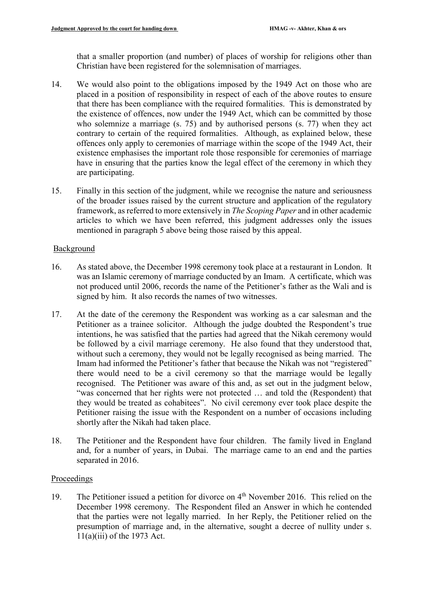that a smaller proportion (and number) of places of worship for religions other than Christian have been registered for the solemnisation of marriages.

- 14. We would also point to the obligations imposed by the 1949 Act on those who are placed in a position of responsibility in respect of each of the above routes to ensure that there has been compliance with the required formalities. This is demonstrated by the existence of offences, now under the 1949 Act, which can be committed by those who solemnize a marriage (s. 75) and by authorised persons (s. 77) when they act contrary to certain of the required formalities. Although, as explained below, these offences only apply to ceremonies of marriage within the scope of the 1949 Act, their existence emphasises the important role those responsible for ceremonies of marriage have in ensuring that the parties know the legal effect of the ceremony in which they are participating.
- 15. Finally in this section of the judgment, while we recognise the nature and seriousness of the broader issues raised by the current structure and application of the regulatory framework, as referred to more extensively in *The Scoping Paper* and in other academic articles to which we have been referred, this judgment addresses only the issues mentioned in paragraph 5 above being those raised by this appeal.

## Background

- 16. As stated above, the December 1998 ceremony took place at a restaurant in London. It was an Islamic ceremony of marriage conducted by an Imam. A certificate, which was not produced until 2006, records the name of the Petitioner's father as the Wali and is signed by him. It also records the names of two witnesses.
- 17. At the date of the ceremony the Respondent was working as a car salesman and the Petitioner as a trainee solicitor. Although the judge doubted the Respondent's true intentions, he was satisfied that the parties had agreed that the Nikah ceremony would be followed by a civil marriage ceremony. He also found that they understood that, without such a ceremony, they would not be legally recognised as being married. The Imam had informed the Petitioner's father that because the Nikah was not "registered" there would need to be a civil ceremony so that the marriage would be legally recognised. The Petitioner was aware of this and, as set out in the judgment below, "was concerned that her rights were not protected … and told the (Respondent) that they would be treated as cohabitees". No civil ceremony ever took place despite the Petitioner raising the issue with the Respondent on a number of occasions including shortly after the Nikah had taken place.
- 18. The Petitioner and the Respondent have four children. The family lived in England and, for a number of years, in Dubai. The marriage came to an end and the parties separated in 2016.

## Proceedings

19. The Petitioner issued a petition for divorce on 4th November 2016. This relied on the December 1998 ceremony. The Respondent filed an Answer in which he contended that the parties were not legally married. In her Reply, the Petitioner relied on the presumption of marriage and, in the alternative, sought a decree of nullity under s. 11(a)(iii) of the 1973 Act.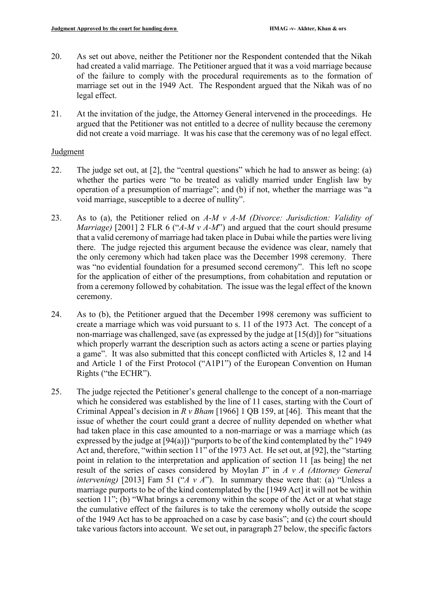- 20. As set out above, neither the Petitioner nor the Respondent contended that the Nikah had created a valid marriage. The Petitioner argued that it was a void marriage because of the failure to comply with the procedural requirements as to the formation of marriage set out in the 1949 Act. The Respondent argued that the Nikah was of no legal effect.
- 21. At the invitation of the judge, the Attorney General intervened in the proceedings. He argued that the Petitioner was not entitled to a decree of nullity because the ceremony did not create a void marriage. It was his case that the ceremony was of no legal effect.

## Judgment

- 22. The judge set out, at [2], the "central questions" which he had to answer as being: (a) whether the parties were "to be treated as validly married under English law by operation of a presumption of marriage"; and (b) if not, whether the marriage was "a void marriage, susceptible to a decree of nullity".
- 23. As to (a), the Petitioner relied on *A-M v A-M (Divorce: Jurisdiction: Validity of Marriage)* [2001] 2 FLR 6 ("*A-M v A-M*") and argued that the court should presume that a valid ceremony of marriage had taken place in Dubai while the parties were living there. The judge rejected this argument because the evidence was clear, namely that the only ceremony which had taken place was the December 1998 ceremony. There was "no evidential foundation for a presumed second ceremony". This left no scope for the application of either of the presumptions, from cohabitation and reputation or from a ceremony followed by cohabitation. The issue was the legal effect of the known ceremony.
- 24. As to (b), the Petitioner argued that the December 1998 ceremony was sufficient to create a marriage which was void pursuant to s. 11 of the 1973 Act. The concept of a non-marriage was challenged, save (as expressed by the judge at [15(d)]) for "situations which properly warrant the description such as actors acting a scene or parties playing a game". It was also submitted that this concept conflicted with Articles 8, 12 and 14 and Article 1 of the First Protocol ("A1P1") of the European Convention on Human Rights ("the ECHR").
- 25. The judge rejected the Petitioner's general challenge to the concept of a non-marriage which he considered was established by the line of 11 cases, starting with the Court of Criminal Appeal's decision in *R v Bham* [1966] 1 QB 159, at [46]. This meant that the issue of whether the court could grant a decree of nullity depended on whether what had taken place in this case amounted to a non-marriage or was a marriage which (as expressed by the judge at [94(a)]) "purports to be of the kind contemplated by the" 1949 Act and, therefore, "within section 11" of the 1973 Act. He set out, at [92], the "starting point in relation to the interpretation and application of section 11 [as being] the net result of the series of cases considered by Moylan J" in *A v A (Attorney General intervening*) [2013] Fam 51 ("*A v A*"). In summary these were that: (a) "Unless a marriage purports to be of the kind contemplated by the [1949 Act] it will not be within section 11"; (b) "What brings a ceremony within the scope of the Act or at what stage the cumulative effect of the failures is to take the ceremony wholly outside the scope of the 1949 Act has to be approached on a case by case basis"; and (c) the court should take various factors into account. We set out, in paragraph 27 below, the specific factors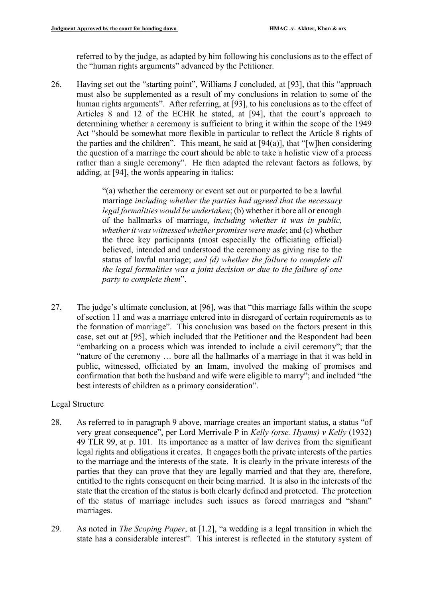referred to by the judge, as adapted by him following his conclusions as to the effect of the "human rights arguments" advanced by the Petitioner.

26. Having set out the "starting point", Williams J concluded, at [93], that this "approach must also be supplemented as a result of my conclusions in relation to some of the human rights arguments". After referring, at [93], to his conclusions as to the effect of Articles 8 and 12 of the ECHR he stated, at [94], that the court's approach to determining whether a ceremony is sufficient to bring it within the scope of the 1949 Act "should be somewhat more flexible in particular to reflect the Article 8 rights of the parties and the children". This meant, he said at  $[94(a)]$ , that "[w]hen considering the question of a marriage the court should be able to take a holistic view of a process rather than a single ceremony". He then adapted the relevant factors as follows, by adding, at [94], the words appearing in italics:

> "(a) whether the ceremony or event set out or purported to be a lawful marriage *including whether the parties had agreed that the necessary legal formalities would be undertaken*; (b) whether it bore all or enough of the hallmarks of marriage, *including whether it was in public, whether it was witnessed whether promises were made*; and (c) whether the three key participants (most especially the officiating official) believed, intended and understood the ceremony as giving rise to the status of lawful marriage; *and (d) whether the failure to complete all the legal formalities was a joint decision or due to the failure of one party to complete them*".

27. The judge's ultimate conclusion, at [96], was that "this marriage falls within the scope of section 11 and was a marriage entered into in disregard of certain requirements as to the formation of marriage". This conclusion was based on the factors present in this case, set out at [95], which included that the Petitioner and the Respondent had been "embarking on a process which was intended to include a civil ceremony"; that the "nature of the ceremony … bore all the hallmarks of a marriage in that it was held in public, witnessed, officiated by an Imam, involved the making of promises and confirmation that both the husband and wife were eligible to marry"; and included "the best interests of children as a primary consideration".

# Legal Structure

- 28. As referred to in paragraph 9 above, marriage creates an important status, a status "of very great consequence", per Lord Merrivale P in *Kelly (orse. Hyams) v Kelly* (1932) 49 TLR 99, at p. 101. Its importance as a matter of law derives from the significant legal rights and obligations it creates. It engages both the private interests of the parties to the marriage and the interests of the state. It is clearly in the private interests of the parties that they can prove that they are legally married and that they are, therefore, entitled to the rights consequent on their being married. It is also in the interests of the state that the creation of the status is both clearly defined and protected. The protection of the status of marriage includes such issues as forced marriages and "sham" marriages.
- 29. As noted in *The Scoping Paper*, at [1.2], "a wedding is a legal transition in which the state has a considerable interest". This interest is reflected in the statutory system of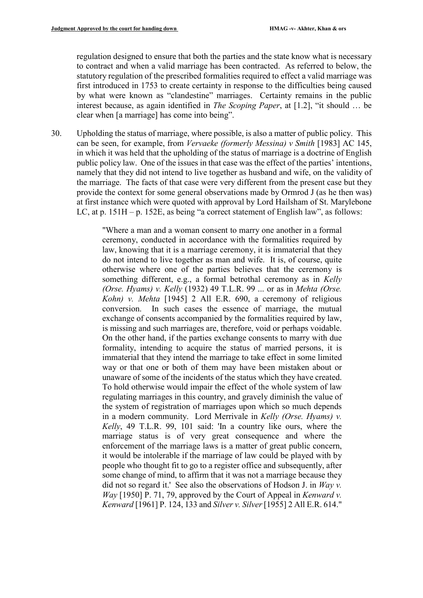regulation designed to ensure that both the parties and the state know what is necessary to contract and when a valid marriage has been contracted. As referred to below, the statutory regulation of the prescribed formalities required to effect a valid marriage was first introduced in 1753 to create certainty in response to the difficulties being caused by what were known as "clandestine" marriages. Certainty remains in the public interest because, as again identified in *The Scoping Paper*, at [1.2], "it should … be clear when [a marriage] has come into being".

30. Upholding the status of marriage, where possible, is also a matter of public policy. This can be seen, for example, from *Vervaeke (formerly Messina) v Smith* [1983] AC 145, in which it was held that the upholding of the status of marriage is a doctrine of English public policy law. One of the issues in that case was the effect of the parties' intentions, namely that they did not intend to live together as husband and wife, on the validity of the marriage. The facts of that case were very different from the present case but they provide the context for some general observations made by Ormrod J (as he then was) at first instance which were quoted with approval by Lord Hailsham of St. Marylebone LC, at p. 151H – p. 152E, as being "a correct statement of English law", as follows:

> "Where a man and a woman consent to marry one another in a formal ceremony, conducted in accordance with the formalities required by law, knowing that it is a marriage ceremony, it is immaterial that they do not intend to live together as man and wife. It is, of course, quite otherwise where one of the parties believes that the ceremony is something different, e.g., a formal betrothal ceremony as in *Kelly (Orse. Hyams) v. Kelly* (1932) 49 T.L.R. 99 ... or as in *Mehta (Orse. Kohn) v. Mehta* [1945] 2 All E.R. 690, a ceremony of religious conversion. In such cases the essence of marriage, the mutual exchange of consents accompanied by the formalities required by law, is missing and such marriages are, therefore, void or perhaps voidable. On the other hand, if the parties exchange consents to marry with due formality, intending to acquire the status of married persons, it is immaterial that they intend the marriage to take effect in some limited way or that one or both of them may have been mistaken about or unaware of some of the incidents of the status which they have created. To hold otherwise would impair the effect of the whole system of law regulating marriages in this country, and gravely diminish the value of the system of registration of marriages upon which so much depends in a modern community. Lord Merrivale in *Kelly (Orse. Hyams) v. Kelly*, 49 T.L.R. 99, 101 said: 'In a country like ours, where the marriage status is of very great consequence and where the enforcement of the marriage laws is a matter of great public concern, it would be intolerable if the marriage of law could be played with by people who thought fit to go to a register office and subsequently, after some change of mind, to affirm that it was not a marriage because they did not so regard it.' See also the observations of Hodson J. in *Way v. Way* [1950] P. 71, 79, approved by the Court of Appeal in *Kenward v. Kenward* [1961] P. 124, 133 and *Silver v. Silver*[1955] 2 All E.R. 614."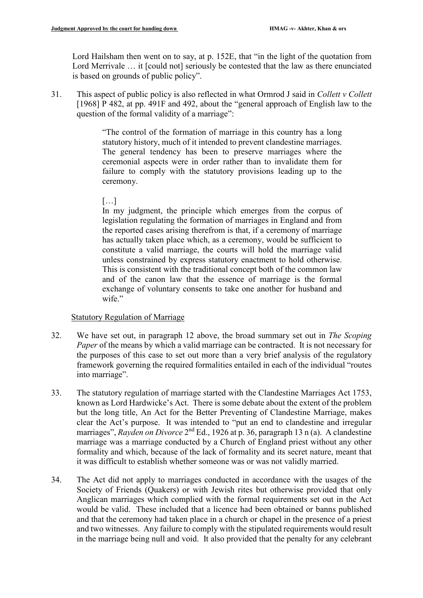Lord Hailsham then went on to say, at p. 152E, that "in the light of the quotation from Lord Merrivale ... it [could not] seriously be contested that the law as there enunciated is based on grounds of public policy".

31. This aspect of public policy is also reflected in what Ormrod J said in *Collett v Collett* [1968] P 482, at pp. 491F and 492, about the "general approach of English law to the question of the formal validity of a marriage":

> "The control of the formation of marriage in this country has a long statutory history, much of it intended to prevent clandestine marriages. The general tendency has been to preserve marriages where the ceremonial aspects were in order rather than to invalidate them for failure to comply with the statutory provisions leading up to the ceremony.

[…]

In my judgment, the principle which emerges from the corpus of legislation regulating the formation of marriages in England and from the reported cases arising therefrom is that, if a ceremony of marriage has actually taken place which, as a ceremony, would be sufficient to constitute a valid marriage, the courts will hold the marriage valid unless constrained by express statutory enactment to hold otherwise. This is consistent with the traditional concept both of the common law and of the canon law that the essence of marriage is the formal exchange of voluntary consents to take one another for husband and wife."

## Statutory Regulation of Marriage

- 32. We have set out, in paragraph 12 above, the broad summary set out in *The Scoping Paper* of the means by which a valid marriage can be contracted. It is not necessary for the purposes of this case to set out more than a very brief analysis of the regulatory framework governing the required formalities entailed in each of the individual "routes into marriage".
- 33. The statutory regulation of marriage started with the Clandestine Marriages Act 1753, known as Lord Hardwicke's Act. There is some debate about the extent of the problem but the long title, An Act for the Better Preventing of Clandestine Marriage, makes clear the Act's purpose. It was intended to "put an end to clandestine and irregular marriages", *Rayden on Divorce* 2nd Ed., 1926 at p. 36, paragraph 13 n (a). A clandestine marriage was a marriage conducted by a Church of England priest without any other formality and which, because of the lack of formality and its secret nature, meant that it was difficult to establish whether someone was or was not validly married.
- 34. The Act did not apply to marriages conducted in accordance with the usages of the Society of Friends (Quakers) or with Jewish rites but otherwise provided that only Anglican marriages which complied with the formal requirements set out in the Act would be valid. These included that a licence had been obtained or banns published and that the ceremony had taken place in a church or chapel in the presence of a priest and two witnesses. Any failure to comply with the stipulated requirements would result in the marriage being null and void. It also provided that the penalty for any celebrant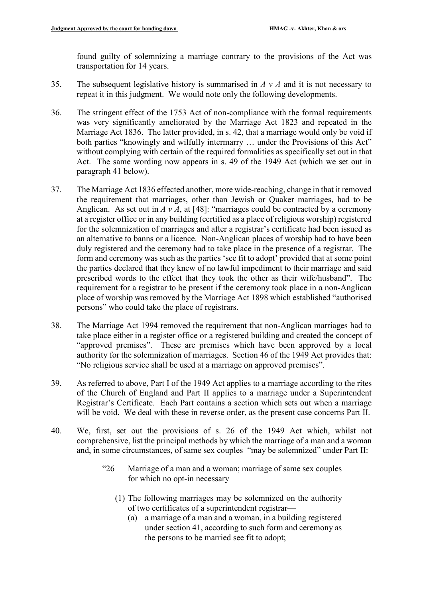found guilty of solemnizing a marriage contrary to the provisions of the Act was transportation for 14 years.

- 35. The subsequent legislative history is summarised in *A v A* and it is not necessary to repeat it in this judgment. We would note only the following developments.
- 36. The stringent effect of the 1753 Act of non-compliance with the formal requirements was very significantly ameliorated by the Marriage Act 1823 and repeated in the Marriage Act 1836. The latter provided, in s. 42, that a marriage would only be void if both parties "knowingly and wilfully intermarry ... under the Provisions of this Act" without complying with certain of the required formalities as specifically set out in that Act. The same wording now appears in s. 49 of the 1949 Act (which we set out in paragraph 41 below).
- 37. The Marriage Act 1836 effected another, more wide-reaching, change in that it removed the requirement that marriages, other than Jewish or Quaker marriages, had to be Anglican. As set out in  $A v A$ , at [48]: "marriages could be contracted by a ceremony at a register office or in any building (certified as a place of religious worship) registered for the solemnization of marriages and after a registrar's certificate had been issued as an alternative to banns or a licence. Non-Anglican places of worship had to have been duly registered and the ceremony had to take place in the presence of a registrar. The form and ceremony was such as the parties 'see fit to adopt' provided that at some point the parties declared that they knew of no lawful impediment to their marriage and said prescribed words to the effect that they took the other as their wife/husband". The requirement for a registrar to be present if the ceremony took place in a non-Anglican place of worship was removed by the Marriage Act 1898 which established "authorised persons" who could take the place of registrars.
- 38. The Marriage Act 1994 removed the requirement that non-Anglican marriages had to take place either in a register office or a registered building and created the concept of "approved premises". These are premises which have been approved by a local authority for the solemnization of marriages. Section 46 of the 1949 Act provides that: "No religious service shall be used at a marriage on approved premises".
- 39. As referred to above, Part I of the 1949 Act applies to a marriage according to the rites of the Church of England and Part II applies to a marriage under a Superintendent Registrar's Certificate. Each Part contains a section which sets out when a marriage will be void. We deal with these in reverse order, as the present case concerns Part II.
- 40. We, first, set out the provisions of s. 26 of the 1949 Act which, whilst not comprehensive, list the principal methods by which the marriage of a man and a woman and, in some circumstances, of same sex couples "may be solemnized" under Part II:
	- "26 Marriage of a man and a woman; marriage of same sex couples for which no opt-in necessary
		- (1) The following marriages may be solemnized on the authority of two certificates of a superintendent registrar—
			- (a) a marriage of a man and a woman, in a building registered under section 41, according to such form and ceremony as the persons to be married see fit to adopt;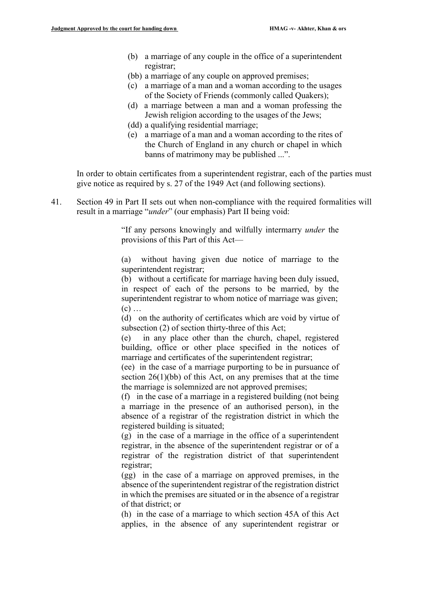- (b) a marriage of any couple in the office of a superintendent registrar;
- (bb) a marriage of any couple on approved premises;
- (c) a marriage of a man and a woman according to the usages of the Society of Friends (commonly called Quakers);
- (d) a marriage between a man and a woman professing the Jewish religion according to the usages of the Jews;
- (dd) a qualifying residential marriage;
- (e) a marriage of a man and a woman according to the rites of the Church of England in any church or chapel in which banns of matrimony may be published ...".

In order to obtain certificates from a superintendent registrar, each of the parties must give notice as required by s. 27 of the 1949 Act (and following sections).

41. Section 49 in Part II sets out when non-compliance with the required formalities will result in a marriage "*under*" (our emphasis) Part II being void:

> "If any persons knowingly and wilfully intermarry *under* the provisions of this Part of this Act—

> (a) without having given due notice of marriage to the superintendent registrar;

> (b) without a certificate for marriage having been duly issued, in respect of each of the persons to be married, by the superintendent registrar to whom notice of marriage was given;  $(c)$  ...

> (d) on the authority of certificates which are void by virtue of subsection (2) of section thirty-three of this Act;

> (e) in any place other than the church, chapel, registered building, office or other place specified in the notices of marriage and certificates of the superintendent registrar;

> (ee) in the case of a marriage purporting to be in pursuance of section  $26(1)(bb)$  of this Act, on any premises that at the time the marriage is solemnized are not approved premises;

> (f) in the case of a marriage in a registered building (not being a marriage in the presence of an authorised person), in the absence of a registrar of the registration district in which the registered building is situated;

> (g) in the case of a marriage in the office of a superintendent registrar, in the absence of the superintendent registrar or of a registrar of the registration district of that superintendent registrar;

> (gg) in the case of a marriage on approved premises, in the absence of the superintendent registrar of the registration district in which the premises are situated or in the absence of a registrar of that district; or

> (h) in the case of a marriage to which section 45A of this Act applies, in the absence of any superintendent registrar or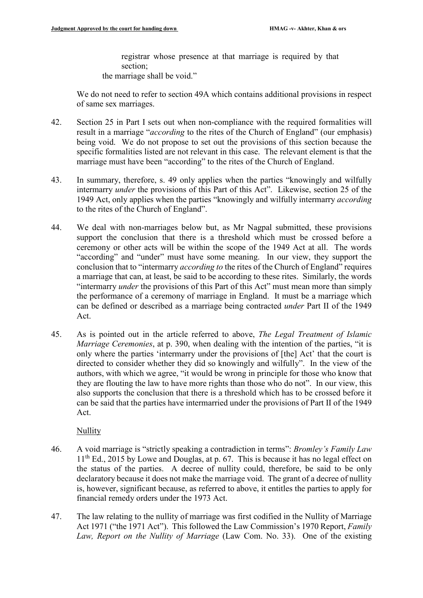registrar whose presence at that marriage is required by that section; the marriage shall be void."

We do not need to refer to section 49A which contains additional provisions in respect of same sex marriages.

- 42. Section 25 in Part I sets out when non-compliance with the required formalities will result in a marriage "*according* to the rites of the Church of England" (our emphasis) being void. We do not propose to set out the provisions of this section because the specific formalities listed are not relevant in this case. The relevant element is that the marriage must have been "according" to the rites of the Church of England.
- 43. In summary, therefore, s. 49 only applies when the parties "knowingly and wilfully intermarry *under* the provisions of this Part of this Act". Likewise, section 25 of the 1949 Act, only applies when the parties "knowingly and wilfully intermarry *according* to the rites of the Church of England".
- 44. We deal with non-marriages below but, as Mr Nagpal submitted, these provisions support the conclusion that there is a threshold which must be crossed before a ceremony or other acts will be within the scope of the 1949 Act at all. The words "according" and "under" must have some meaning. In our view, they support the conclusion that to "intermarry *according to* the rites of the Church of England" requires a marriage that can, at least, be said to be according to these rites. Similarly, the words "intermarry *under* the provisions of this Part of this Act" must mean more than simply the performance of a ceremony of marriage in England. It must be a marriage which can be defined or described as a marriage being contracted *under* Part II of the 1949 Act.
- 45. As is pointed out in the article referred to above, *The Legal Treatment of Islamic Marriage Ceremonies*, at p. 390, when dealing with the intention of the parties, "it is only where the parties 'intermarry under the provisions of [the] Act' that the court is directed to consider whether they did so knowingly and wilfully". In the view of the authors, with which we agree, "it would be wrong in principle for those who know that they are flouting the law to have more rights than those who do not". In our view, this also supports the conclusion that there is a threshold which has to be crossed before it can be said that the parties have intermarried under the provisions of Part II of the 1949 Act.

Nullity

- 46. A void marriage is "strictly speaking a contradiction in terms": *Bromley's Family Law*  $11<sup>th</sup>$  Ed., 2015 by Lowe and Douglas, at p. 67. This is because it has no legal effect on the status of the parties. A decree of nullity could, therefore, be said to be only declaratory because it does not make the marriage void. The grant of a decree of nullity is, however, significant because, as referred to above, it entitles the parties to apply for financial remedy orders under the 1973 Act.
- 47. The law relating to the nullity of marriage was first codified in the Nullity of Marriage Act 1971 ("the 1971 Act"). This followed the Law Commission's 1970 Report, *Family Law, Report on the Nullity of Marriage* (Law Com. No. 33). One of the existing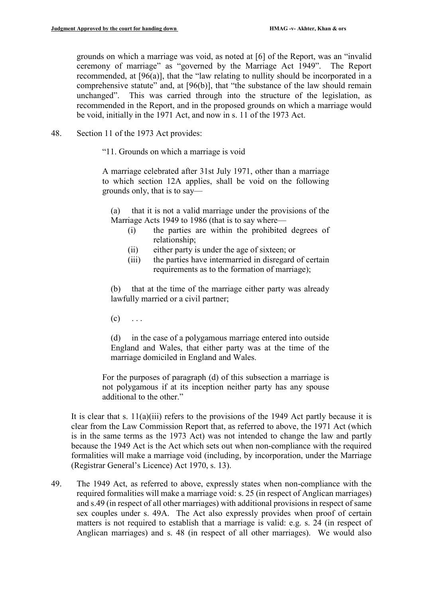grounds on which a marriage was void, as noted at [6] of the Report, was an "invalid ceremony of marriage" as "governed by the Marriage Act 1949". The Report recommended, at [96(a)], that the "law relating to nullity should be incorporated in a comprehensive statute" and, at [96(b)], that "the substance of the law should remain unchanged". This was carried through into the structure of the legislation, as recommended in the Report, and in the proposed grounds on which a marriage would be void, initially in the 1971 Act, and now in s. 11 of the 1973 Act.

- 48. Section 11 of the 1973 Act provides:
	- "11. Grounds on which a marriage is void

A marriage celebrated after 31st July 1971, other than a marriage to which section 12A applies, shall be void on the following grounds only, that is to say—

(a) that it is not a valid marriage under the provisions of the Marriage Acts 1949 to 1986 (that is to say where—

- (i) the parties are within the prohibited degrees of relationship;
- (ii) either party is under the age of sixteen; or
- (iii) the parties have intermarried in disregard of certain requirements as to the formation of marriage);

(b) that at the time of the marriage either party was already lawfully married or a civil partner;

 $(c) \quad \ldots$ 

(d) in the case of a polygamous marriage entered into outside England and Wales, that either party was at the time of the marriage domiciled in England and Wales.

For the purposes of paragraph (d) of this subsection a marriage is not polygamous if at its inception neither party has any spouse additional to the other."

It is clear that s.  $11(a)(iii)$  refers to the provisions of the 1949 Act partly because it is clear from the Law Commission Report that, as referred to above, the 1971 Act (which is in the same terms as the 1973 Act) was not intended to change the law and partly because the 1949 Act is the Act which sets out when non-compliance with the required formalities will make a marriage void (including, by incorporation, under the Marriage (Registrar General's Licence) Act 1970, s. 13).

49. The 1949 Act, as referred to above, expressly states when non-compliance with the required formalities will make a marriage void: s. 25 (in respect of Anglican marriages) and s.49 (in respect of all other marriages) with additional provisions in respect of same sex couples under s. 49A. The Act also expressly provides when proof of certain matters is not required to establish that a marriage is valid: e.g. s. 24 (in respect of Anglican marriages) and s. 48 (in respect of all other marriages). We would also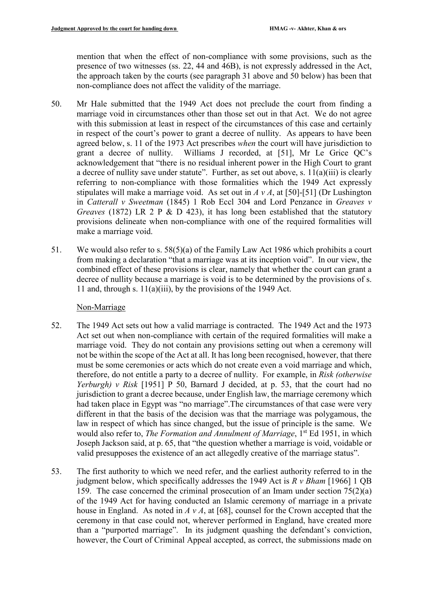mention that when the effect of non-compliance with some provisions, such as the presence of two witnesses (ss. 22, 44 and 46B), is not expressly addressed in the Act, the approach taken by the courts (see paragraph 31 above and 50 below) has been that non-compliance does not affect the validity of the marriage.

- 50. Mr Hale submitted that the 1949 Act does not preclude the court from finding a marriage void in circumstances other than those set out in that Act. We do not agree with this submission at least in respect of the circumstances of this case and certainly in respect of the court's power to grant a decree of nullity. As appears to have been agreed below, s. 11 of the 1973 Act prescribes *when* the court will have jurisdiction to grant a decree of nullity. Williams J recorded, at [51], Mr Le Grice QC's acknowledgement that "there is no residual inherent power in the High Court to grant a decree of nullity save under statute". Further, as set out above, s. 11(a)(iii) is clearly referring to non-compliance with those formalities which the 1949 Act expressly stipulates will make a marriage void. As set out in *A v A*, at [50]-[51] (Dr Lushington in *Catterall v Sweetman* (1845) 1 Rob Eccl 304 and Lord Penzance in *Greaves v Greaves* (1872) LR 2 P & D 423), it has long been established that the statutory provisions delineate when non-compliance with one of the required formalities will make a marriage void.
- 51. We would also refer to s. 58(5)(a) of the Family Law Act 1986 which prohibits a court from making a declaration "that a marriage was at its inception void". In our view, the combined effect of these provisions is clear, namely that whether the court can grant a decree of nullity because a marriage is void is to be determined by the provisions of s. 11 and, through s.  $11(a)(iii)$ , by the provisions of the 1949 Act.

## Non-Marriage

- 52. The 1949 Act sets out how a valid marriage is contracted. The 1949 Act and the 1973 Act set out when non-compliance with certain of the required formalities will make a marriage void. They do not contain any provisions setting out when a ceremony will not be within the scope of the Act at all. It has long been recognised, however, that there must be some ceremonies or acts which do not create even a void marriage and which, therefore, do not entitle a party to a decree of nullity. For example, in *Risk (otherwise Yerburgh) v Risk* [1951] P 50, Barnard J decided, at p. 53, that the court had no jurisdiction to grant a decree because, under English law, the marriage ceremony which had taken place in Egypt was "no marriage".The circumstances of that case were very different in that the basis of the decision was that the marriage was polygamous, the law in respect of which has since changed, but the issue of principle is the same. We would also refer to, *The Formation and Annulment of Marriage*, 1<sup>st</sup> Ed 1951, in which Joseph Jackson said, at p. 65, that "the question whether a marriage is void, voidable or valid presupposes the existence of an act allegedly creative of the marriage status".
- 53. The first authority to which we need refer, and the earliest authority referred to in the judgment below, which specifically addresses the 1949 Act is *R v Bham* [1966] 1 QB 159. The case concerned the criminal prosecution of an Imam under section 75(2)(a) of the 1949 Act for having conducted an Islamic ceremony of marriage in a private house in England. As noted in *A v A*, at [68], counsel for the Crown accepted that the ceremony in that case could not, wherever performed in England, have created more than a "purported marriage". In its judgment quashing the defendant's conviction, however, the Court of Criminal Appeal accepted, as correct, the submissions made on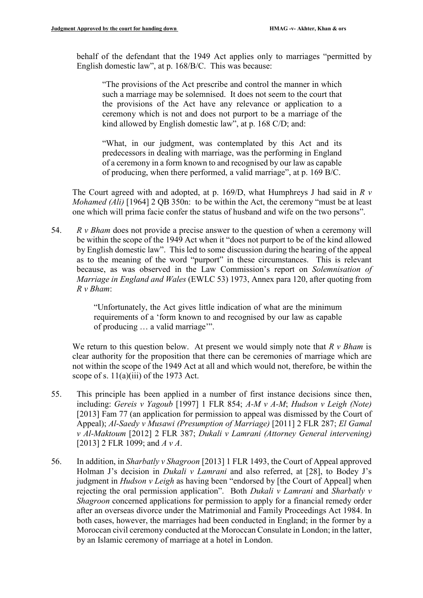behalf of the defendant that the 1949 Act applies only to marriages "permitted by English domestic law", at p. 168/B/C. This was because:

"The provisions of the Act prescribe and control the manner in which such a marriage may be solemnised. It does not seem to the court that the provisions of the Act have any relevance or application to a ceremony which is not and does not purport to be a marriage of the kind allowed by English domestic law", at p. 168 C/D; and:

"What, in our judgment, was contemplated by this Act and its predecessors in dealing with marriage, was the performing in England of a ceremony in a form known to and recognised by our law as capable of producing, when there performed, a valid marriage", at p. 169 B/C.

The Court agreed with and adopted, at p. 169/D, what Humphreys J had said in *R v Mohamed (Ali)* [1964] 2 QB 350n: to be within the Act, the ceremony "must be at least one which will prima facie confer the status of husband and wife on the two persons".

54. *R v Bham* does not provide a precise answer to the question of when a ceremony will be within the scope of the 1949 Act when it "does not purport to be of the kind allowed by English domestic law". This led to some discussion during the hearing of the appeal as to the meaning of the word "purport" in these circumstances. This is relevant because, as was observed in the Law Commission's report on *Solemnisation of Marriage in England and Wales* (EWLC 53) 1973, Annex para 120, after quoting from *R v Bham*:

> "Unfortunately, the Act gives little indication of what are the minimum requirements of a 'form known to and recognised by our law as capable of producing … a valid marriage'".

We return to this question below. At present we would simply note that *R v Bham* is clear authority for the proposition that there can be ceremonies of marriage which are not within the scope of the 1949 Act at all and which would not, therefore, be within the scope of s. 11(a)(iii) of the 1973 Act.

- 55. This principle has been applied in a number of first instance decisions since then, including: *Gereis v Yagoub* [1997] 1 FLR 854; *A-M v A-M*; *Hudson v Leigh (Note)* [2013] Fam 77 (an application for permission to appeal was dismissed by the Court of Appeal); *Al-Saedy v Musawi (Presumption of Marriage)* [2011] 2 FLR 287; *El Gamal v Al-Maktoum* [2012] 2 FLR 387; *Dukali v Lamrani (Attorney General intervening)* [2013] 2 FLR 1099; and *A v A*.
- 56. In addition, in *Sharbatly v Shagroon* [2013] 1 FLR 1493, the Court of Appeal approved Holman J's decision in *Dukali v Lamrani* and also referred, at [28], to Bodey J's judgment in *Hudson v Leigh* as having been "endorsed by [the Court of Appeal] when rejecting the oral permission application". Both *Dukali v Lamrani* and *Sharbatly v Shagroon* concerned applications for permission to apply for a financial remedy order after an overseas divorce under the Matrimonial and Family Proceedings Act 1984. In both cases, however, the marriages had been conducted in England; in the former by a Moroccan civil ceremony conducted at the Moroccan Consulate in London; in the latter, by an Islamic ceremony of marriage at a hotel in London.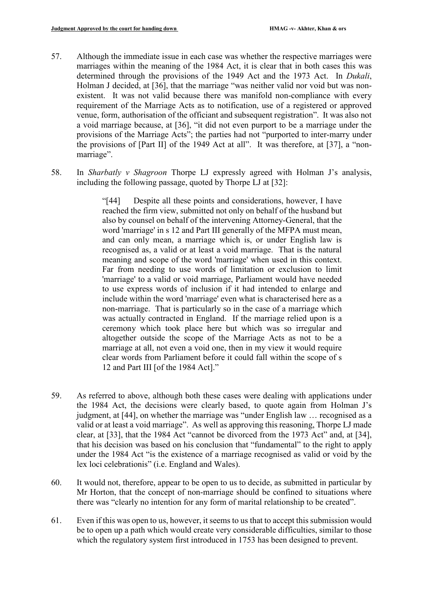- 57. Although the immediate issue in each case was whether the respective marriages were marriages within the meaning of the 1984 Act, it is clear that in both cases this was determined through the provisions of the 1949 Act and the 1973 Act. In *Dukali*, Holman J decided, at [36], that the marriage "was neither valid nor void but was nonexistent. It was not valid because there was manifold non-compliance with every requirement of the Marriage Acts as to notification, use of a registered or approved venue, form, authorisation of the officiant and subsequent registration". It was also not a void marriage because, at [36], "it did not even purport to be a marriage under the provisions of the Marriage Acts"; the parties had not "purported to inter-marry under the provisions of [Part II] of the 1949 Act at all". It was therefore, at [37], a "nonmarriage".
- 58. In *Sharbatly v Shagroon* Thorpe LJ expressly agreed with Holman J's analysis, including the following passage, quoted by Thorpe LJ at [32]:

"[44] Despite all these points and considerations, however, I have reached the firm view, submitted not only on behalf of the husband but also by counsel on behalf of the intervening Attorney-General, that the word 'marriage' in s 12 and Part III generally of the MFPA must mean, and can only mean, a marriage which is, or under English law is recognised as, a valid or at least a void marriage. That is the natural meaning and scope of the word 'marriage' when used in this context. Far from needing to use words of limitation or exclusion to limit 'marriage' to a valid or void marriage, Parliament would have needed to use express words of inclusion if it had intended to enlarge and include within the word 'marriage' even what is characterised here as a non-marriage. That is particularly so in the case of a marriage which was actually contracted in England. If the marriage relied upon is a ceremony which took place here but which was so irregular and altogether outside the scope of the Marriage Acts as not to be a marriage at all, not even a void one, then in my view it would require clear words from Parliament before it could fall within the scope of s 12 and Part III [of the 1984 Act]."

- 59. As referred to above, although both these cases were dealing with applications under the 1984 Act, the decisions were clearly based, to quote again from Holman J's judgment, at [44], on whether the marriage was "under English law … recognised as a valid or at least a void marriage". As well as approving this reasoning, Thorpe LJ made clear, at [33], that the 1984 Act "cannot be divorced from the 1973 Act" and, at [34], that his decision was based on his conclusion that "fundamental" to the right to apply under the 1984 Act "is the existence of a marriage recognised as valid or void by the lex loci celebrationis" (i.e. England and Wales).
- 60. It would not, therefore, appear to be open to us to decide, as submitted in particular by Mr Horton, that the concept of non-marriage should be confined to situations where there was "clearly no intention for any form of marital relationship to be created".
- 61. Even if this was open to us, however, it seems to us that to accept this submission would be to open up a path which would create very considerable difficulties, similar to those which the regulatory system first introduced in 1753 has been designed to prevent.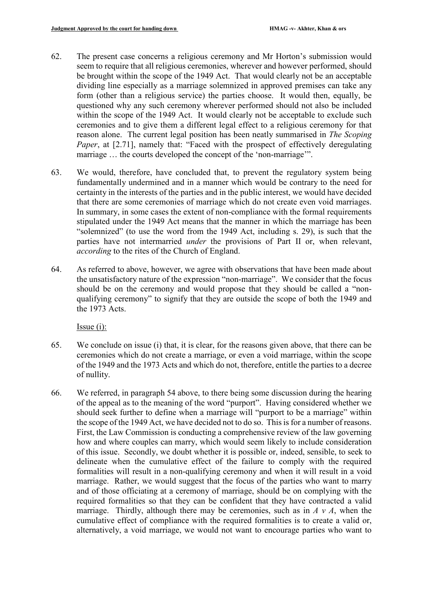- 62. The present case concerns a religious ceremony and Mr Horton's submission would seem to require that all religious ceremonies, wherever and however performed, should be brought within the scope of the 1949 Act. That would clearly not be an acceptable dividing line especially as a marriage solemnized in approved premises can take any form (other than a religious service) the parties choose. It would then, equally, be questioned why any such ceremony wherever performed should not also be included within the scope of the 1949 Act. It would clearly not be acceptable to exclude such ceremonies and to give them a different legal effect to a religious ceremony for that reason alone. The current legal position has been neatly summarised in *The Scoping Paper*, at [2.71], namely that: "Faced with the prospect of effectively deregulating marriage … the courts developed the concept of the 'non-marriage'".
- 63. We would, therefore, have concluded that, to prevent the regulatory system being fundamentally undermined and in a manner which would be contrary to the need for certainty in the interests of the parties and in the public interest, we would have decided that there are some ceremonies of marriage which do not create even void marriages. In summary, in some cases the extent of non-compliance with the formal requirements stipulated under the 1949 Act means that the manner in which the marriage has been "solemnized" (to use the word from the 1949 Act, including s. 29), is such that the parties have not intermarried *under* the provisions of Part II or, when relevant, *according* to the rites of the Church of England.
- 64. As referred to above, however, we agree with observations that have been made about the unsatisfactory nature of the expression "non-marriage". We consider that the focus should be on the ceremony and would propose that they should be called a "nonqualifying ceremony" to signify that they are outside the scope of both the 1949 and the 1973 Acts.

Issue (i):

- 65. We conclude on issue (i) that, it is clear, for the reasons given above, that there can be ceremonies which do not create a marriage, or even a void marriage, within the scope of the 1949 and the 1973 Acts and which do not, therefore, entitle the parties to a decree of nullity.
- 66. We referred, in paragraph 54 above, to there being some discussion during the hearing of the appeal as to the meaning of the word "purport". Having considered whether we should seek further to define when a marriage will "purport to be a marriage" within the scope of the 1949 Act, we have decided not to do so. This is for a number of reasons. First, the Law Commission is conducting a comprehensive review of the law governing how and where couples can marry, which would seem likely to include consideration of this issue. Secondly, we doubt whether it is possible or, indeed, sensible, to seek to delineate when the cumulative effect of the failure to comply with the required formalities will result in a non-qualifying ceremony and when it will result in a void marriage. Rather, we would suggest that the focus of the parties who want to marry and of those officiating at a ceremony of marriage, should be on complying with the required formalities so that they can be confident that they have contracted a valid marriage. Thirdly, although there may be ceremonies, such as in *A v A*, when the cumulative effect of compliance with the required formalities is to create a valid or, alternatively, a void marriage, we would not want to encourage parties who want to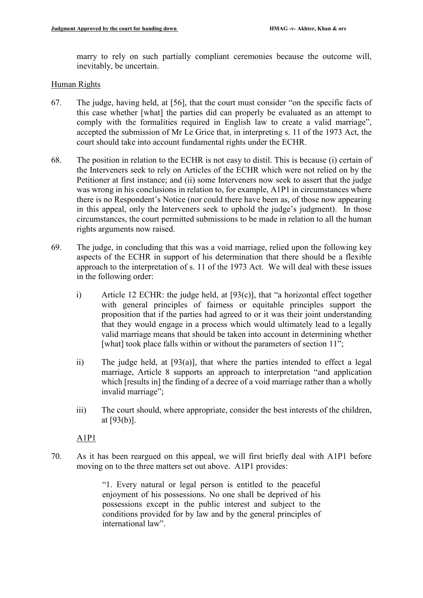marry to rely on such partially compliant ceremonies because the outcome will, inevitably, be uncertain.

## Human Rights

- 67. The judge, having held, at [56], that the court must consider "on the specific facts of this case whether [what] the parties did can properly be evaluated as an attempt to comply with the formalities required in English law to create a valid marriage", accepted the submission of Mr Le Grice that, in interpreting s. 11 of the 1973 Act, the court should take into account fundamental rights under the ECHR.
- 68. The position in relation to the ECHR is not easy to distil. This is because (i) certain of the Interveners seek to rely on Articles of the ECHR which were not relied on by the Petitioner at first instance; and (ii) some Interveners now seek to assert that the judge was wrong in his conclusions in relation to, for example, A1P1 in circumstances where there is no Respondent's Notice (nor could there have been as, of those now appearing in this appeal, only the Interveners seek to uphold the judge's judgment). In those circumstances, the court permitted submissions to be made in relation to all the human rights arguments now raised.
- 69. The judge, in concluding that this was a void marriage, relied upon the following key aspects of the ECHR in support of his determination that there should be a flexible approach to the interpretation of s. 11 of the 1973 Act. We will deal with these issues in the following order:
	- i) Article 12 ECHR: the judge held, at [93(c)], that "a horizontal effect together with general principles of fairness or equitable principles support the proposition that if the parties had agreed to or it was their joint understanding that they would engage in a process which would ultimately lead to a legally valid marriage means that should be taken into account in determining whether [what] took place falls within or without the parameters of section 11";
	- ii) The judge held, at [93(a)], that where the parties intended to effect a legal marriage, Article 8 supports an approach to interpretation "and application which [results in] the finding of a decree of a void marriage rather than a wholly invalid marriage";
	- iii) The court should, where appropriate, consider the best interests of the children, at [93(b)].

A1P1

70. As it has been reargued on this appeal, we will first briefly deal with A1P1 before moving on to the three matters set out above. A1P1 provides:

> "1. Every natural or legal person is entitled to the peaceful enjoyment of his possessions. No one shall be deprived of his possessions except in the public interest and subject to the conditions provided for by law and by the general principles of international law".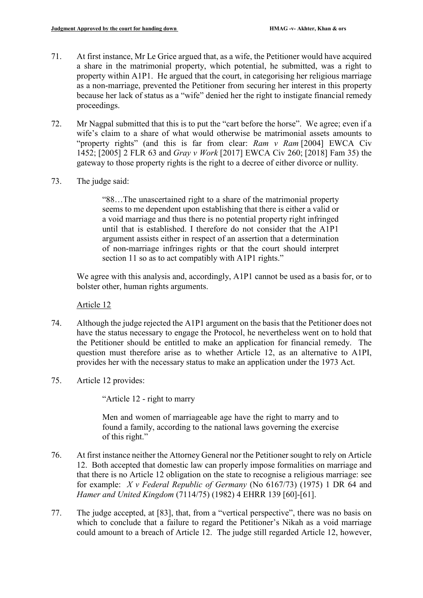- 71. At first instance, Mr Le Grice argued that, as a wife, the Petitioner would have acquired a share in the matrimonial property, which potential, he submitted, was a right to property within A1P1. He argued that the court, in categorising her religious marriage as a non-marriage, prevented the Petitioner from securing her interest in this property because her lack of status as a "wife" denied her the right to instigate financial remedy proceedings.
- 72. Mr Nagpal submitted that this is to put the "cart before the horse". We agree; even if a wife's claim to a share of what would otherwise be matrimonial assets amounts to "property rights" (and this is far from clear: *Ram v Ram* [2004] EWCA Civ 1452; [\[2005\] 2 FLR 63](about:blank) and *Gray v Work* [\[2017\] EWCA Civ 260; \[2018\] Fam 35\)](about:blank) the gateway to those property rights is the right to a decree of either divorce or nullity.
- 73. The judge said:

"88…The unascertained right to a share of the matrimonial property seems to me dependent upon establishing that there is either a valid or a void marriage and thus there is no potential property right infringed until that is established. I therefore do not consider that the A1P1 argument assists either in respect of an assertion that a determination of non-marriage infringes rights or that the court should interpret section 11 so as to act compatibly with A1P1 rights."

We agree with this analysis and, accordingly, A1P1 cannot be used as a basis for, or to bolster other, human rights arguments.

Article 12

- 74. Although the judge rejected the A1P1 argument on the basis that the Petitioner does not have the status necessary to engage the Protocol, he nevertheless went on to hold that the Petitioner should be entitled to make an application for financial remedy. The question must therefore arise as to whether Article 12, as an alternative to A1PI, provides her with the necessary status to make an application under the 1973 Act.
- 75. Article 12 provides:

"Article 12 - right to marry

Men and women of marriageable age have the right to marry and to found a family, according to the national laws governing the exercise of this right."

- 76. At first instance neither the Attorney General nor the Petitioner sought to rely on Article 12. Both accepted that domestic law can properly impose formalities on marriage and that there is no Article 12 obligation on the state to recognise a religious marriage: see for example: *X v Federal Republic of Germany* (No 6167/73) (1975) 1 DR 64 and *Hamer and United Kingdom* (7114/75) (1982) 4 EHRR 139 [60]-[61].
- 77. The judge accepted, at [83], that, from a "vertical perspective", there was no basis on which to conclude that a failure to regard the Petitioner's Nikah as a void marriage could amount to a breach of Article 12. The judge still regarded Article 12, however,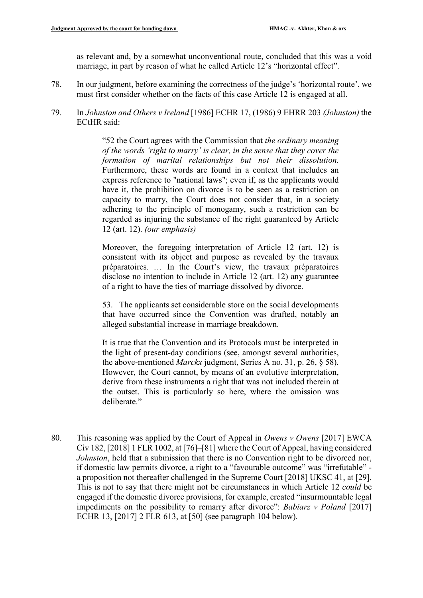as relevant and, by a somewhat unconventional route, concluded that this was a void marriage, in part by reason of what he called Article 12's "horizontal effect".

- 78. In our judgment, before examining the correctness of the judge's 'horizontal route', we must first consider whether on the facts of this case Article 12 is engaged at all.
- 79. In *Johnston and Others v Ireland* [1986] ECHR 17, (1986) 9 EHRR 203 *(Johnston)* the ECtHR said:

"52 the Court agrees with the Commission that *the ordinary meaning of the words 'right to marry' is clear, in the sense that they cover the formation of marital relationships but not their dissolution.* Furthermore, these words are found in a context that includes an express reference to "national laws"; even if, as the applicants would have it, the prohibition on divorce is to be seen as a restriction on capacity to marry, the Court does not consider that, in a society adhering to the principle of monogamy, such a restriction can be regarded as injuring the substance of the right guaranteed by Article 12 (art. 12). *(our emphasis)*

Moreover, the foregoing interpretation of Article 12 (art. 12) is consistent with its object and purpose as revealed by the travaux préparatoires. … In the Court's view, the travaux préparatoires disclose no intention to include in Article 12 (art. 12) any guarantee of a right to have the ties of marriage dissolved by divorce.

53. The applicants set considerable store on the social developments that have occurred since the Convention was drafted, notably an alleged substantial increase in marriage breakdown.

It is true that the Convention and its Protocols must be interpreted in the light of present-day conditions (see, amongst several authorities, the above-mentioned *Marckx* judgment, Series A no. 31, p. 26, § 58). However, the Court cannot, by means of an evolutive interpretation, derive from these instruments a right that was not included therein at the outset. This is particularly so here, where the omission was deliberate."

80. This reasoning was applied by the Court of Appeal in *Owens v Owens* [2017] EWCA Civ 182, [2018] 1 FLR 1002, at [76]–[81] where the Court of Appeal, having considered *Johnston*, held that a submission that there is no Convention right to be divorced nor, if domestic law permits divorce, a right to a "favourable outcome" was "irrefutable" a proposition not thereafter challenged in the Supreme Court [2018] UKSC 41, at [29]. This is not to say that there might not be circumstances in which Article 12 *could* be engaged if the domestic divorce provisions, for example, created "insurmountable legal impediments on the possibility to remarry after divorce": *Babiarz v Poland* [2017] ECHR 13, [2017] 2 FLR 613, at [50] (see paragraph 104 below).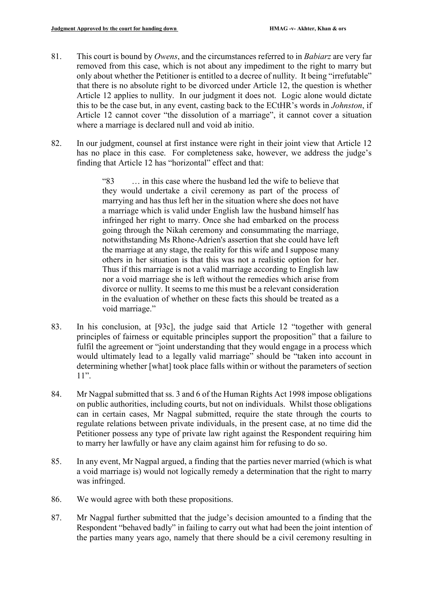- 81. This court is bound by *Owens*, and the circumstances referred to in *Babiarz* are very far removed from this case, which is not about any impediment to the right to marry but only about whether the Petitioner is entitled to a decree of nullity. It being "irrefutable" that there is no absolute right to be divorced under Article 12, the question is whether Article 12 applies to nullity. In our judgment it does not. Logic alone would dictate this to be the case but, in any event, casting back to the ECtHR's words in *Johnston*, if Article 12 cannot cover "the dissolution of a marriage", it cannot cover a situation where a marriage is declared null and void ab initio.
- 82. In our judgment, counsel at first instance were right in their joint view that Article 12 has no place in this case. For completeness sake, however, we address the judge's finding that Article 12 has "horizontal" effect and that:

"83 … in this case where the husband led the wife to believe that they would undertake a civil ceremony as part of the process of marrying and has thus left her in the situation where she does not have a marriage which is valid under English law the husband himself has infringed her right to marry. Once she had embarked on the process going through the Nikah ceremony and consummating the marriage, notwithstanding Ms Rhone-Adrien's assertion that she could have left the marriage at any stage, the reality for this wife and I suppose many others in her situation is that this was not a realistic option for her. Thus if this marriage is not a valid marriage according to English law nor a void marriage she is left without the remedies which arise from divorce or nullity. It seems to me this must be a relevant consideration in the evaluation of whether on these facts this should be treated as a void marriage."

- 83. In his conclusion, at [93c], the judge said that Article 12 "together with general principles of fairness or equitable principles support the proposition" that a failure to fulfil the agreement or "joint understanding that they would engage in a process which would ultimately lead to a legally valid marriage" should be "taken into account in determining whether [what] took place falls within or without the parameters of section 11".
- 84. Mr Nagpal submitted that ss. 3 and 6 of the Human Rights Act 1998 impose obligations on public authorities, including courts, but not on individuals. Whilst those obligations can in certain cases, Mr Nagpal submitted, require the state through the courts to regulate relations between private individuals, in the present case, at no time did the Petitioner possess any type of private law right against the Respondent requiring him to marry her lawfully or have any claim against him for refusing to do so.
- 85. In any event, Mr Nagpal argued, a finding that the parties never married (which is what a void marriage is) would not logically remedy a determination that the right to marry was infringed.
- 86. We would agree with both these propositions.
- 87. Mr Nagpal further submitted that the judge's decision amounted to a finding that the Respondent "behaved badly" in failing to carry out what had been the joint intention of the parties many years ago, namely that there should be a civil ceremony resulting in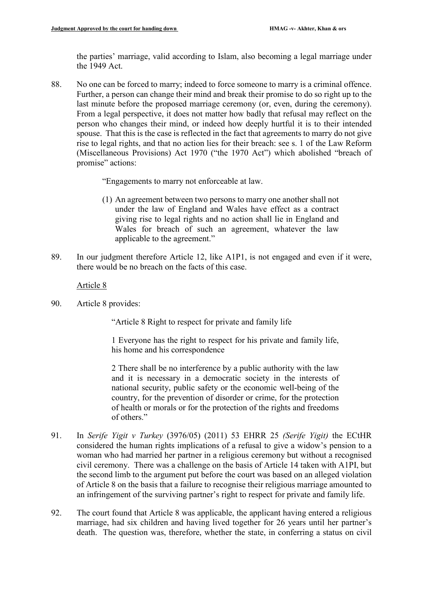the parties' marriage, valid according to Islam, also becoming a legal marriage under the 1949 Act.

88. No one can be forced to marry; indeed to force someone to marry is a criminal offence. Further, a person can change their mind and break their promise to do so right up to the last minute before the proposed marriage ceremony (or, even, during the ceremony). From a legal perspective, it does not matter how badly that refusal may reflect on the person who changes their mind, or indeed how deeply hurtful it is to their intended spouse. That this is the case is reflected in the fact that agreements to marry do not give rise to legal rights, and that no action lies for their breach: see s. 1 of the Law Reform (Miscellaneous Provisions) Act 1970 ("the 1970 Act") which abolished "breach of promise" actions:

"Engagements to marry not enforceable at law.

- (1) An agreement between two persons to marry one another shall not under the law of England and Wales have effect as a contract giving rise to legal rights and no action shall lie in England and Wales for breach of such an agreement, whatever the law applicable to the agreement."
- 89. In our judgment therefore Article 12, like A1P1, is not engaged and even if it were, there would be no breach on the facts of this case.

Article 8

90. Article 8 provides:

"Article 8 Right to respect for private and family life

1 Everyone has the right to respect for his private and family life, his home and his correspondence

2 There shall be no interference by a public authority with the law and it is necessary in a democratic society in the interests of national security, public safety or the economic well-being of the country, for the prevention of disorder or crime, for the protection of health or morals or for the protection of the rights and freedoms of others."

- 91. In *Serife Yigit v Turkey* (3976/05) (2011) 53 EHRR 25 *(Serife Yigit)* the ECtHR considered the human rights implications of a refusal to give a widow's pension to a woman who had married her partner in a religious ceremony but without a recognised civil ceremony. There was a challenge on the basis of Article 14 taken with A1PI, but the second limb to the argument put before the court was based on an alleged violation of Article 8 on the basis that a failure to recognise their religious marriage amounted to an infringement of the surviving partner's right to respect for private and family life.
- 92. The court found that Article 8 was applicable, the applicant having entered a religious marriage, had six children and having lived together for 26 years until her partner's death. The question was, therefore, whether the state, in conferring a status on civil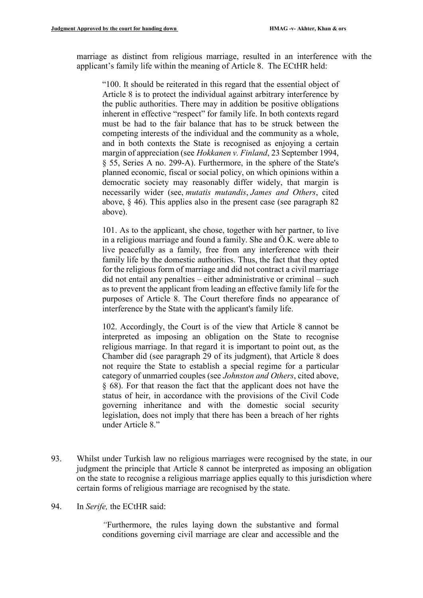marriage as distinct from religious marriage, resulted in an interference with the applicant's family life within the meaning of Article 8. The ECtHR held:

"100. It should be reiterated in this regard that the essential object of Article 8 is to protect the individual against arbitrary interference by the public authorities. There may in addition be positive obligations inherent in effective "respect" for family life. In both contexts regard must be had to the fair balance that has to be struck between the competing interests of the individual and the community as a whole, and in both contexts the State is recognised as enjoying a certain margin of appreciation (see *Hokkanen v. Finland*, 23 September 1994, § 55, Series A no. 299-A). Furthermore, in the sphere of the State's planned economic, fiscal or social policy, on which opinions within a democratic society may reasonably differ widely, that margin is necessarily wider (see, *mutatis mutandis*, *James and Others*, cited above, § 46). This applies also in the present case (see paragraph 82 above).

101. As to the applicant, she chose, together with her partner, to live in a religious marriage and found a family. She and Ö.K. were able to live peacefully as a family, free from any interference with their family life by the domestic authorities. Thus, the fact that they opted for the religious form of marriage and did not contract a civil marriage did not entail any penalties – either administrative or criminal – such as to prevent the applicant from leading an effective family life for the purposes of Article 8. The Court therefore finds no appearance of interference by the State with the applicant's family life.

102. Accordingly, the Court is of the view that Article 8 cannot be interpreted as imposing an obligation on the State to recognise religious marriage. In that regard it is important to point out, as the Chamber did (see paragraph 29 of its judgment), that Article 8 does not require the State to establish a special regime for a particular category of unmarried couples (see *Johnston and Others*, cited above, § 68). For that reason the fact that the applicant does not have the status of heir, in accordance with the provisions of the Civil Code governing inheritance and with the domestic social security legislation, does not imply that there has been a breach of her rights under Article 8."

93. Whilst under Turkish law no religious marriages were recognised by the state, in our judgment the principle that Article 8 cannot be interpreted as imposing an obligation on the state to recognise a religious marriage applies equally to this jurisdiction where certain forms of religious marriage are recognised by the state.

#### 94. In *Serife,* the ECtHR said:

*"*Furthermore, the rules laying down the substantive and formal conditions governing civil marriage are clear and accessible and the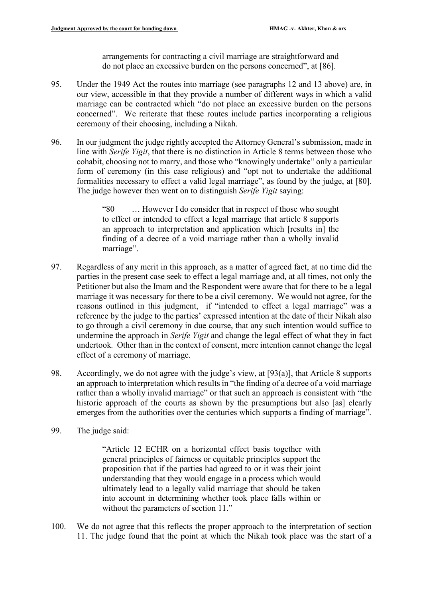arrangements for contracting a civil marriage are straightforward and do not place an excessive burden on the persons concerned", at [86].

- 95. Under the 1949 Act the routes into marriage (see paragraphs 12 and 13 above) are, in our view, accessible in that they provide a number of different ways in which a valid marriage can be contracted which "do not place an excessive burden on the persons concerned". We reiterate that these routes include parties incorporating a religious ceremony of their choosing, including a Nikah.
- 96. In our judgment the judge rightly accepted the Attorney General's submission, made in line with *Serife Yigit*, that there is no distinction in Article 8 terms between those who cohabit, choosing not to marry, and those who "knowingly undertake" only a particular form of ceremony (in this case religious) and "opt not to undertake the additional formalities necessary to effect a valid legal marriage", as found by the judge, at [80]. The judge however then went on to distinguish *Serife Yigit* saying:

"80 … However I do consider that in respect of those who sought to effect or intended to effect a legal marriage that article 8 supports an approach to interpretation and application which [results in] the finding of a decree of a void marriage rather than a wholly invalid marriage".

- 97. Regardless of any merit in this approach, as a matter of agreed fact, at no time did the parties in the present case seek to effect a legal marriage and, at all times, not only the Petitioner but also the Imam and the Respondent were aware that for there to be a legal marriage it was necessary for there to be a civil ceremony. We would not agree, for the reasons outlined in this judgment, if "intended to effect a legal marriage" was a reference by the judge to the parties' expressed intention at the date of their Nikah also to go through a civil ceremony in due course, that any such intention would suffice to undermine the approach in *Serife Yigit* and change the legal effect of what they in fact undertook*.* Other than in the context of consent, mere intention cannot change the legal effect of a ceremony of marriage.
- 98. Accordingly, we do not agree with the judge's view, at [93(a)], that Article 8 supports an approach to interpretation which results in "the finding of a decree of a void marriage rather than a wholly invalid marriage" or that such an approach is consistent with "the historic approach of the courts as shown by the presumptions but also [as] clearly emerges from the authorities over the centuries which supports a finding of marriage".
- 99. The judge said:

"Article 12 ECHR on a horizontal effect basis together with general principles of fairness or equitable principles support the proposition that if the parties had agreed to or it was their joint understanding that they would engage in a process which would ultimately lead to a legally valid marriage that should be taken into account in determining whether took place falls within or without the parameters of section 11."

100. We do not agree that this reflects the proper approach to the interpretation of section 11. The judge found that the point at which the Nikah took place was the start of a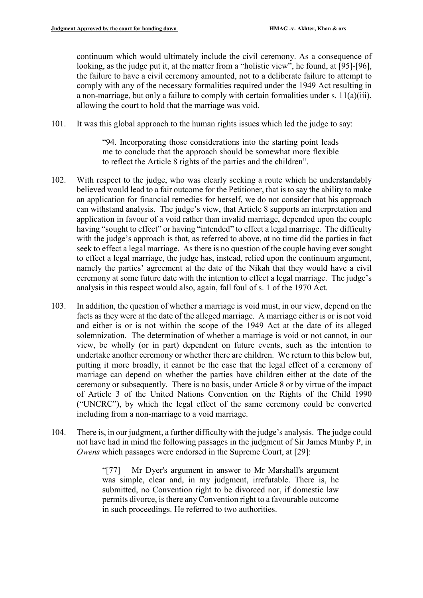continuum which would ultimately include the civil ceremony. As a consequence of looking, as the judge put it, at the matter from a "holistic view", he found, at [95]-[96], the failure to have a civil ceremony amounted, not to a deliberate failure to attempt to comply with any of the necessary formalities required under the 1949 Act resulting in a non-marriage, but only a failure to comply with certain formalities under s.  $11(a)(iii)$ , allowing the court to hold that the marriage was void.

101. It was this global approach to the human rights issues which led the judge to say:

"94. Incorporating those considerations into the starting point leads me to conclude that the approach should be somewhat more flexible to reflect the Article 8 rights of the parties and the children".

- 102. With respect to the judge, who was clearly seeking a route which he understandably believed would lead to a fair outcome for the Petitioner, that is to say the ability to make an application for financial remedies for herself, we do not consider that his approach can withstand analysis. The judge's view, that Article 8 supports an interpretation and application in favour of a void rather than invalid marriage, depended upon the couple having "sought to effect" or having "intended" to effect a legal marriage. The difficulty with the judge's approach is that, as referred to above, at no time did the parties in fact seek to effect a legal marriage. As there is no question of the couple having ever sought to effect a legal marriage, the judge has, instead, relied upon the continuum argument, namely the parties' agreement at the date of the Nikah that they would have a civil ceremony at some future date with the intention to effect a legal marriage. The judge's analysis in this respect would also, again, fall foul of s. 1 of the 1970 Act.
- 103. In addition, the question of whether a marriage is void must, in our view, depend on the facts as they were at the date of the alleged marriage. A marriage either is or is not void and either is or is not within the scope of the 1949 Act at the date of its alleged solemnization. The determination of whether a marriage is void or not cannot, in our view, be wholly (or in part) dependent on future events, such as the intention to undertake another ceremony or whether there are children. We return to this below but, putting it more broadly, it cannot be the case that the legal effect of a ceremony of marriage can depend on whether the parties have children either at the date of the ceremony or subsequently. There is no basis, under Article 8 or by virtue of the impact of Article 3 of the United Nations Convention on the Rights of the Child 1990 ("UNCRC"), by which the legal effect of the same ceremony could be converted including from a non-marriage to a void marriage.
- 104. There is, in our judgment, a further difficulty with the judge's analysis. The judge could not have had in mind the following passages in the judgment of Sir James Munby P, in *Owens* which passages were endorsed in the Supreme Court, at [29]:

"[77] Mr Dyer's argument in answer to Mr Marshall's argument was simple, clear and, in my judgment, irrefutable. There is, he submitted, no Convention right to be divorced nor, if domestic law permits divorce, is there any Convention right to a favourable outcome in such proceedings. He referred to two authorities.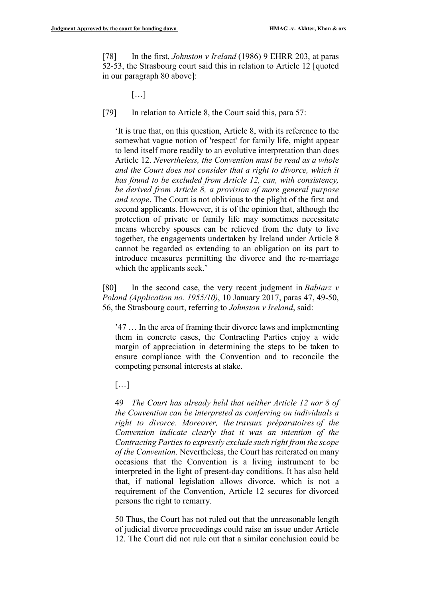[78] In the first, *Johnston v Ireland* (1986) 9 EHRR 203, at paras 52-53, the Strasbourg court said this in relation to Article 12 [quoted in our paragraph 80 above]:

[…]

[79] In relation to Article 8, the Court said this, para 57:

'It is true that, on this question, Article 8, with its reference to the somewhat vague notion of 'respect' for family life, might appear to lend itself more readily to an evolutive interpretation than does Article 12. *Nevertheless, the Convention must be read as a whole and the Court does not consider that a right to divorce, which it has found to be excluded from Article 12, can, with consistency, be derived from Article 8, a provision of more general purpose and scope*. The Court is not oblivious to the plight of the first and second applicants. However, it is of the opinion that, although the protection of private or family life may sometimes necessitate means whereby spouses can be relieved from the duty to live together, the engagements undertaken by Ireland under Article 8 cannot be regarded as extending to an obligation on its part to introduce measures permitting the divorce and the re-marriage which the applicants seek.'

[80] In the second case, the very recent judgment in *Babiarz v Poland (Application no. 1955/10)*, 10 January 2017, paras 47, 49-50, 56, the Strasbourg court, referring to *Johnston v Ireland*, said:

'47 … In the area of framing their divorce laws and implementing them in concrete cases, the Contracting Parties enjoy a wide margin of appreciation in determining the steps to be taken to ensure compliance with the Convention and to reconcile the competing personal interests at stake.

[…]

49 *The Court has already held that neither Article 12 nor 8 of the Convention can be interpreted as conferring on individuals a right to divorce. Moreover, the travaux préparatoires of the Convention indicate clearly that it was an intention of the Contracting Parties to expressly exclude such right from the scope of the Convention*. Nevertheless, the Court has reiterated on many occasions that the Convention is a living instrument to be interpreted in the light of present-day conditions. It has also held that, if national legislation allows divorce, which is not a requirement of the Convention, Article 12 secures for divorced persons the right to remarry.

50 Thus, the Court has not ruled out that the unreasonable length of judicial divorce proceedings could raise an issue under Article 12. The Court did not rule out that a similar conclusion could be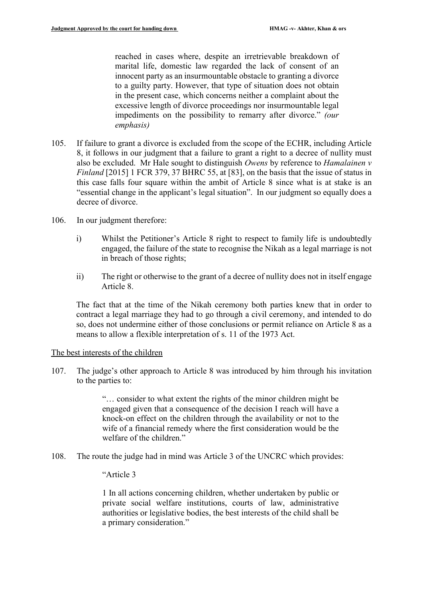reached in cases where, despite an irretrievable breakdown of marital life, domestic law regarded the lack of consent of an innocent party as an insurmountable obstacle to granting a divorce to a guilty party. However, that type of situation does not obtain in the present case, which concerns neither a complaint about the excessive length of divorce proceedings nor insurmountable legal impediments on the possibility to remarry after divorce." *(our emphasis)* 

- 105. If failure to grant a divorce is excluded from the scope of the ECHR, including Article 8, it follows in our judgment that a failure to grant a right to a decree of nullity must also be excluded. Mr Hale sought to distinguish *Owens* by reference to *Hamalainen v Finland* [2015] 1 FCR 379, 37 BHRC 55, at [83], on the basis that the issue of status in this case falls four square within the ambit of Article 8 since what is at stake is an "essential change in the applicant's legal situation". In our judgment so equally does a decree of divorce.
- 106. In our judgment therefore:
	- i) Whilst the Petitioner's Article 8 right to respect to family life is undoubtedly engaged, the failure of the state to recognise the Nikah as a legal marriage is not in breach of those rights;
	- ii) The right or otherwise to the grant of a decree of nullity does not in itself engage Article 8.

The fact that at the time of the Nikah ceremony both parties knew that in order to contract a legal marriage they had to go through a civil ceremony, and intended to do so, does not undermine either of those conclusions or permit reliance on Article 8 as a means to allow a flexible interpretation of s. 11 of the 1973 Act.

## The best interests of the children

107. The judge's other approach to Article 8 was introduced by him through his invitation to the parties to:

> "… consider to what extent the rights of the minor children might be engaged given that a consequence of the decision I reach will have a knock-on effect on the children through the availability or not to the wife of a financial remedy where the first consideration would be the welfare of the children."

108. The route the judge had in mind was Article 3 of the UNCRC which provides:

"Article 3

1 In all actions concerning children, whether undertaken by public or private social welfare institutions, courts of law, administrative authorities or legislative bodies, the best interests of the child shall be a primary consideration."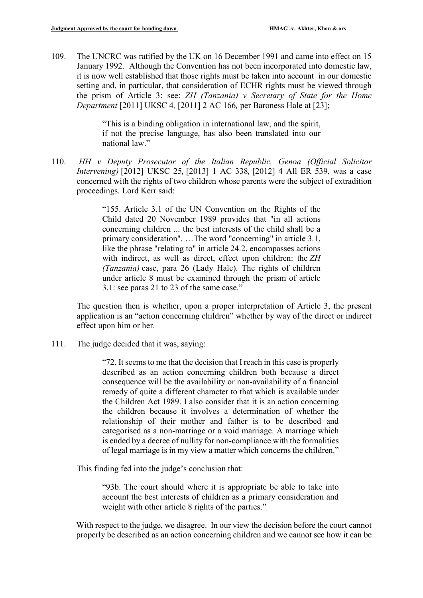109. The UNCRC was ratified by the UK on 16 December 1991 and came into effect on 15 January 1992. Although the Convention has not been incorporated into domestic law, it is now well established that those rights must be taken into account in our domestic setting and, in particular, that consideration of ECHR rights must be viewed through the prism of Article 3: see: *ZH (Tanzania) v Secretary of State for the Home Department* [2011] UKSC 4*,* [\[2011\] 2 AC 166](about:blank)*,* per Baroness Hale at [23];

> "This is a binding obligation in international law, and the spirit, if not the precise language, has also been translated into our national law."

110. *HH v Deputy Prosecutor of the Italian Republic, Genoa (Official Solicitor Intervening)* [\[2012\] UKSC 25](about:blank)*,* [\[2013\] 1 AC 338](about:blank)*,* [\[2012\] 4 All ER 539,](about:blank) was a case concerned with the rights of two children whose parents were the subject of extradition proceedings. Lord Kerr said:

> "155. Article 3.1 of the UN Convention on the Rights of the Child dated 20 November 1989 provides that "in all actions concerning children ... the best interests of the child shall be a primary consideration". …The word "concerning" in article 3.1, like the phrase "relating to" in article 24.2, encompasses actions with indirect, as well as direct, effect upon children: the *ZH (Tanzania)* case, para 26 (Lady Hale). The rights of children under article 8 must be examined through the prism of article 3.1: see paras 21 to 23 of the same case."

The question then is whether, upon a proper interpretation of Article 3, the present application is an "action concerning children" whether by way of the direct or indirect effect upon him or her.

111. The judge decided that it was, saying:

"72. It seems to me that the decision that I reach in this case is properly described as an action concerning children both because a direct consequence will be the availability or non-availability of a financial remedy of quite a different character to that which is available under the Children Act 1989. I also consider that it is an action concerning the children because it involves a determination of whether the relationship of their mother and father is to be described and categorised as a non-marriage or a void marriage. A marriage which is ended by a decree of nullity for non-compliance with the formalities of legal marriage is in my view a matter which concerns the children."

This finding fed into the judge's conclusion that:

"93b. The court should where it is appropriate be able to take into account the best interests of children as a primary consideration and weight with other article 8 rights of the parties."

With respect to the judge, we disagree. In our view the decision before the court cannot properly be described as an action concerning children and we cannot see how it can be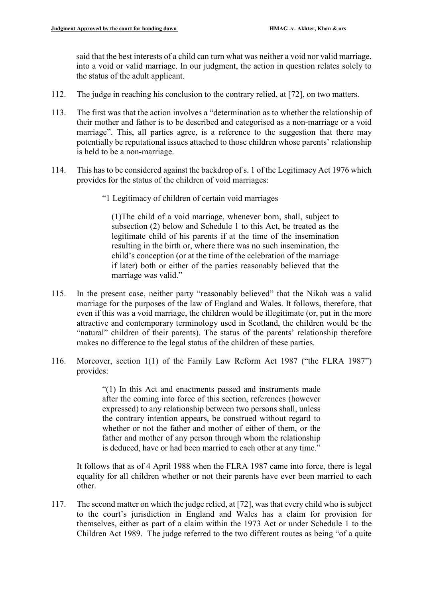said that the best interests of a child can turn what was neither a void nor valid marriage, into a void or valid marriage. In our judgment, the action in question relates solely to the status of the adult applicant.

- 112. The judge in reaching his conclusion to the contrary relied, at [72], on two matters.
- 113. The first was that the action involves a "determination as to whether the relationship of their mother and father is to be described and categorised as a non-marriage or a void marriage". This, all parties agree, is a reference to the suggestion that there may potentially be reputational issues attached to those children whose parents' relationship is held to be a non-marriage.
- 114. This has to be considered against the backdrop of s. 1 of the Legitimacy Act 1976 which provides for the status of the children of void marriages:
	- "1 Legitimacy of children of certain void marriages

(1)The child of a void marriage, whenever born, shall, subject to subsection (2) below and Schedule 1 to this Act, be treated as the legitimate child of his parents if at the time of the insemination resulting in the birth or, where there was no such insemination, the child's conception (or at the time of the celebration of the marriage if later) both or either of the parties reasonably believed that the marriage was valid."

- 115. In the present case, neither party "reasonably believed" that the Nikah was a valid marriage for the purposes of the law of England and Wales. It follows, therefore, that even if this was a void marriage, the children would be illegitimate (or, put in the more attractive and contemporary terminology used in Scotland, the children would be the "natural" children of their parents). The status of the parents' relationship therefore makes no difference to the legal status of the children of these parties.
- 116. Moreover, section 1(1) of the Family Law Reform Act 1987 ("the FLRA 1987") provides:

"(1) In this Act and enactments passed and instruments made after the coming into force of this section, references (however expressed) to any relationship between two persons shall, unless the contrary intention appears, be construed without regard to whether or not the father and mother of either of them, or the father and mother of any person through whom the relationship is deduced, have or had been married to each other at any time."

It follows that as of 4 April 1988 when the FLRA 1987 came into force, there is legal equality for all children whether or not their parents have ever been married to each other.

117. The second matter on which the judge relied, at [72], was that every child who is subject to the court's jurisdiction in England and Wales has a claim for provision for themselves, either as part of a claim within the 1973 Act or under Schedule 1 to the Children Act 1989. The judge referred to the two different routes as being "of a quite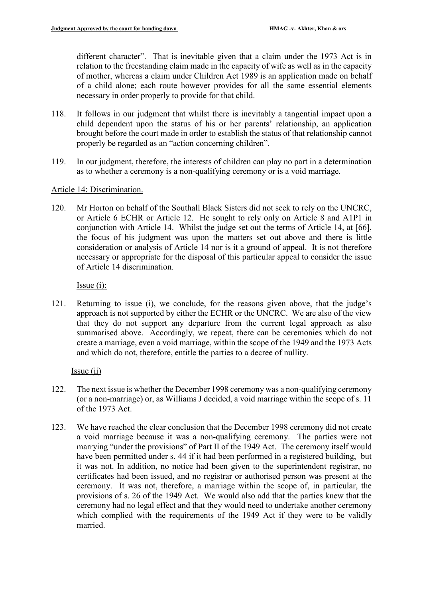different character". That is inevitable given that a claim under the 1973 Act is in relation to the freestanding claim made in the capacity of wife as well as in the capacity of mother, whereas a claim under Children Act 1989 is an application made on behalf of a child alone; each route however provides for all the same essential elements necessary in order properly to provide for that child.

- 118. It follows in our judgment that whilst there is inevitably a tangential impact upon a child dependent upon the status of his or her parents' relationship, an application brought before the court made in order to establish the status of that relationship cannot properly be regarded as an "action concerning children".
- 119. In our judgment, therefore, the interests of children can play no part in a determination as to whether a ceremony is a non-qualifying ceremony or is a void marriage.

## Article 14: Discrimination.

120. Mr Horton on behalf of the Southall Black Sisters did not seek to rely on the UNCRC, or Article 6 ECHR or Article 12. He sought to rely only on Article 8 and A1P1 in conjunction with Article 14. Whilst the judge set out the terms of Article 14, at [66], the focus of his judgment was upon the matters set out above and there is little consideration or analysis of Article 14 nor is it a ground of appeal. It is not therefore necessary or appropriate for the disposal of this particular appeal to consider the issue of Article 14 discrimination.

Issue (i):

121. Returning to issue (i), we conclude, for the reasons given above, that the judge's approach is not supported by either the ECHR or the UNCRC. We are also of the view that they do not support any departure from the current legal approach as also summarised above. Accordingly, we repeat, there can be ceremonies which do not create a marriage, even a void marriage, within the scope of the 1949 and the 1973 Acts and which do not, therefore, entitle the parties to a decree of nullity.

## Issue (ii)

- 122. The next issue is whether the December 1998 ceremony was a non-qualifying ceremony (or a non-marriage) or, as Williams J decided, a void marriage within the scope of s. 11 of the 1973 Act.
- 123. We have reached the clear conclusion that the December 1998 ceremony did not create a void marriage because it was a non-qualifying ceremony. The parties were not marrying "under the provisions" of Part II of the 1949 Act. The ceremony itself would have been permitted under s. 44 if it had been performed in a registered building, but it was not. In addition, no notice had been given to the superintendent registrar, no certificates had been issued, and no registrar or authorised person was present at the ceremony. It was not, therefore, a marriage within the scope of, in particular, the provisions of s. 26 of the 1949 Act. We would also add that the parties knew that the ceremony had no legal effect and that they would need to undertake another ceremony which complied with the requirements of the 1949 Act if they were to be validly married.